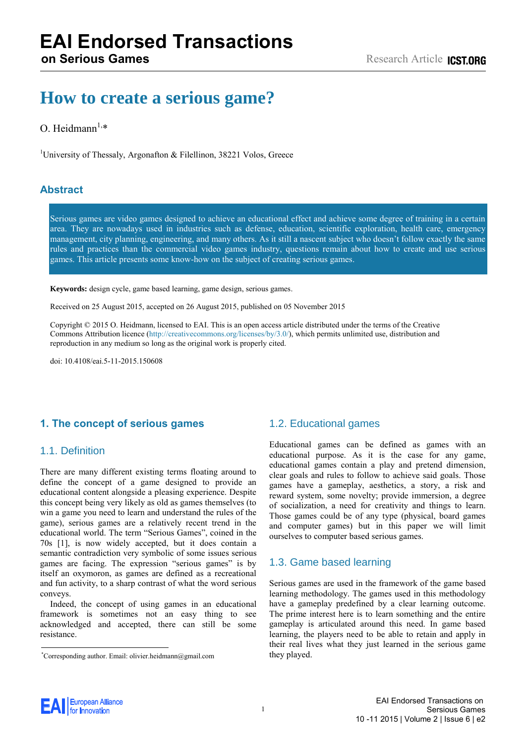# **How to create a serious game?**

# O. Heidmann $^{1,*}$

<sup>1</sup>University of Thessaly, Argonafton & Filellinon, 38221 Volos, Greece

# **Abstract**

Serious games are video games designed to achieve an educational effect and achieve some degree of training in a certain area. They are nowadays used in industries such as defense, education, scientific exploration, health care, emergency management, city planning, engineering, and many others. As it still a nascent subject who doesn't follow exactly the same rules and practices than the commercial video games industry, questions remain about how to create and use serious games. This article presents some know-how on the subject of creating serious games.

**Keywords:** design cycle, game based learning, game design, serious games.

Received on 25 August 2015, accepted on 26 August 2015, published on 05 November 2015

Copyright © 2015 O. Heidmann, licensed to EAI. This is an open access article distributed under the terms of the Creative Commons Attribution licence [\(http://creativecommons.org/licenses/by/3.0/\)](http://creativecommons.org/licenses/by/3.0/), which permits unlimited use, distribution and reproduction in any medium so long as the original work is properly cited.

doi: 10.4108/eai.5-11-2015.150608

# **1. The concept of serious games**

# 1.1. Definition

There are many different existing terms floating around to define the concept of a game designed to provide an educational content alongside a pleasing experience. Despite this concept being very likely as old as games themselves (to win a game you need to learn and understand the rules of the game), serious games are a relatively recent trend in the educational world. The term "Serious Games", coined in the 70s [1], is now widely accepted, but it does contain a semantic contradiction very symbolic of some issues serious games are facing. The expression "serious games" is by itself an oxymoron, as games are defined as a recreational and fun activity, to a sharp contrast of what the word serious conveys.

Indeed, the concept of using games in an educational framework is sometimes not an easy thing to see acknowledged and accepted, there can still be some resistance.

# 1.2. Educational games

Educational games can be defined as games with an educational purpose. As it is the case for any game, educational games contain a play and pretend dimension, clear goals and rules to follow to achieve said goals. Those games have a gameplay, aesthetics, a story, a risk and reward system, some novelty; provide immersion, a degree of socialization, a need for creativity and things to learn. Those games could be of any type (physical, board games and computer games) but in this paper we will limit ourselves to computer based serious games.

### 1.3. Game based learning

Serious games are used in the framework of the game based learning methodology. The games used in this methodology have a gameplay predefined by a clear learning outcome. The prime interest here is to learn something and the entire gameplay is articulated around this need. In game based learning, the players need to be able to retain and apply in their real lives what they just learned in the serious game they played.



<sup>\*</sup>Corresponding author. Email: olivier.heidmann@gmail.com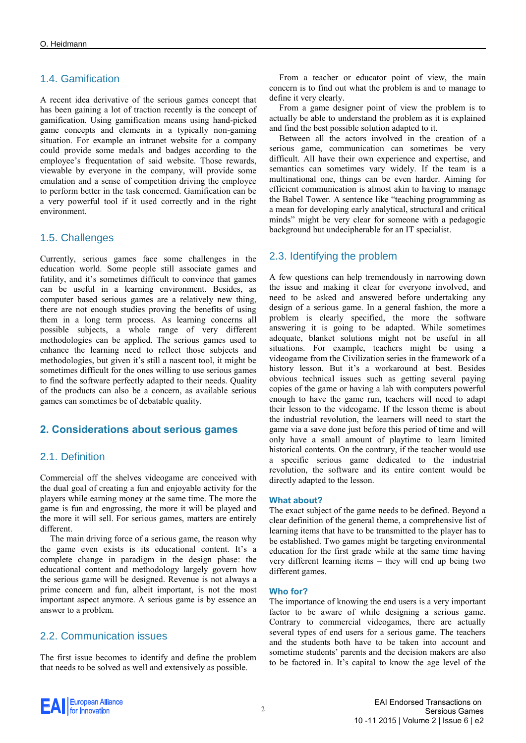# 1.4. Gamification

A recent idea derivative of the serious games concept that has been gaining a lot of traction recently is the concept of gamification. Using gamification means using hand-picked game concepts and elements in a typically non-gaming situation. For example an intranet website for a company could provide some medals and badges according to the employee's frequentation of said website. Those rewards, viewable by everyone in the company, will provide some emulation and a sense of competition driving the employee to perform better in the task concerned. Gamification can be a very powerful tool if it used correctly and in the right environment.

# 1.5. Challenges

Currently, serious games face some challenges in the education world. Some people still associate games and futility, and it's sometimes difficult to convince that games can be useful in a learning environment. Besides, as computer based serious games are a relatively new thing, there are not enough studies proving the benefits of using them in a long term process. As learning concerns all possible subjects, a whole range of very different methodologies can be applied. The serious games used to enhance the learning need to reflect those subjects and methodologies, but given it's still a nascent tool, it might be sometimes difficult for the ones willing to use serious games to find the software perfectly adapted to their needs. Quality of the products can also be a concern, as available serious games can sometimes be of debatable quality.

# **2. Considerations about serious games**

# 2.1. Definition

Commercial off the shelves videogame are conceived with the dual goal of creating a fun and enjoyable activity for the players while earning money at the same time. The more the game is fun and engrossing, the more it will be played and the more it will sell. For serious games, matters are entirely different.

The main driving force of a serious game, the reason why the game even exists is its educational content. It's a complete change in paradigm in the design phase: the educational content and methodology largely govern how the serious game will be designed. Revenue is not always a prime concern and fun, albeit important, is not the most important aspect anymore. A serious game is by essence an answer to a problem.

# 2.2. Communication issues

The first issue becomes to identify and define the problem that needs to be solved as well and extensively as possible.

From a teacher or educator point of view, the main concern is to find out what the problem is and to manage to define it very clearly.

From a game designer point of view the problem is to actually be able to understand the problem as it is explained and find the best possible solution adapted to it.

Between all the actors involved in the creation of a serious game, communication can sometimes be very difficult. All have their own experience and expertise, and semantics can sometimes vary widely. If the team is a multinational one, things can be even harder. Aiming for efficient communication is almost akin to having to manage the Babel Tower. A sentence like "teaching programming as a mean for developing early analytical, structural and critical minds" might be very clear for someone with a pedagogic background but undecipherable for an IT specialist.

# 2.3. Identifying the problem

A few questions can help tremendously in narrowing down the issue and making it clear for everyone involved, and need to be asked and answered before undertaking any design of a serious game. In a general fashion, the more a problem is clearly specified, the more the software answering it is going to be adapted. While sometimes adequate, blanket solutions might not be useful in all situations. For example, teachers might be using a videogame from the Civilization series in the framework of a history lesson. But it's a workaround at best. Besides obvious technical issues such as getting several paying copies of the game or having a lab with computers powerful enough to have the game run, teachers will need to adapt their lesson to the videogame. If the lesson theme is about the industrial revolution, the learners will need to start the game via a save done just before this period of time and will only have a small amount of playtime to learn limited historical contents. On the contrary, if the teacher would use a specific serious game dedicated to the industrial revolution, the software and its entire content would be directly adapted to the lesson.

### **What about?**

The exact subject of the game needs to be defined. Beyond a clear definition of the general theme, a comprehensive list of learning items that have to be transmitted to the player has to be established. Two games might be targeting environmental education for the first grade while at the same time having very different learning items – they will end up being two different games.

#### **Who for?**

The importance of knowing the end users is a very important factor to be aware of while designing a serious game. Contrary to commercial videogames, there are actually several types of end users for a serious game. The teachers and the students both have to be taken into account and sometime students' parents and the decision makers are also to be factored in. It's capital to know the age level of the

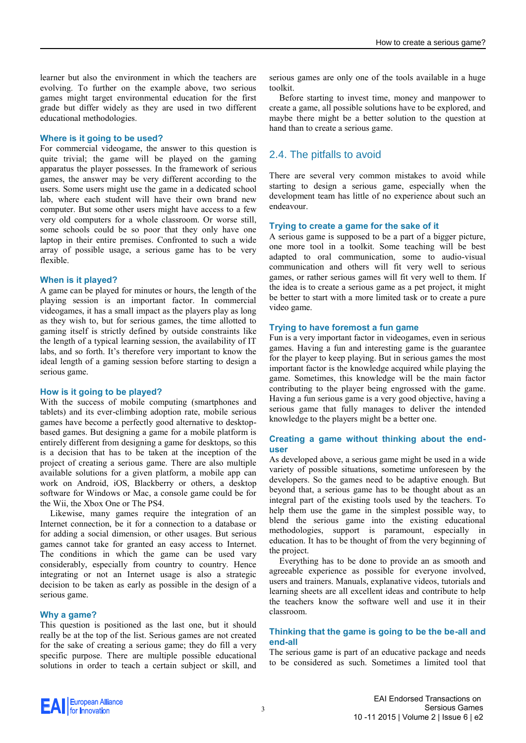learner but also the environment in which the teachers are evolving. To further on the example above, two serious games might target environmental education for the first grade but differ widely as they are used in two different educational methodologies.

#### **Where is it going to be used?**

For commercial videogame, the answer to this question is quite trivial; the game will be played on the gaming apparatus the player possesses. In the framework of serious games, the answer may be very different according to the users. Some users might use the game in a dedicated school lab, where each student will have their own brand new computer. But some other users might have access to a few very old computers for a whole classroom. Or worse still, some schools could be so poor that they only have one laptop in their entire premises. Confronted to such a wide array of possible usage, a serious game has to be very flexible.

#### **When is it played?**

A game can be played for minutes or hours, the length of the playing session is an important factor. In commercial videogames, it has a small impact as the players play as long as they wish to, but for serious games, the time allotted to gaming itself is strictly defined by outside constraints like the length of a typical learning session, the availability of IT labs, and so forth. It's therefore very important to know the ideal length of a gaming session before starting to design a serious game.

#### **How is it going to be played?**

With the success of mobile computing (smartphones and tablets) and its ever-climbing adoption rate, mobile serious games have become a perfectly good alternative to desktopbased games. But designing a game for a mobile platform is entirely different from designing a game for desktops, so this is a decision that has to be taken at the inception of the project of creating a serious game. There are also multiple available solutions for a given platform, a mobile app can work on Android, iOS, Blackberry or others, a desktop software for Windows or Mac, a console game could be for the Wii, the Xbox One or The PS4.

Likewise, many games require the integration of an Internet connection, be it for a connection to a database or for adding a social dimension, or other usages. But serious games cannot take for granted an easy access to Internet. The conditions in which the game can be used vary considerably, especially from country to country. Hence integrating or not an Internet usage is also a strategic decision to be taken as early as possible in the design of a serious game.

### **Why a game?**

This question is positioned as the last one, but it should really be at the top of the list. Serious games are not created for the sake of creating a serious game; they do fill a very specific purpose. There are multiple possible educational solutions in order to teach a certain subject or skill, and serious games are only one of the tools available in a huge toolkit.

Before starting to invest time, money and manpower to create a game, all possible solutions have to be explored, and maybe there might be a better solution to the question at hand than to create a serious game.

# 2.4. The pitfalls to avoid

There are several very common mistakes to avoid while starting to design a serious game, especially when the development team has little of no experience about such an endeavour.

#### **Trying to create a game for the sake of it**

A serious game is supposed to be a part of a bigger picture, one more tool in a toolkit. Some teaching will be best adapted to oral communication, some to audio-visual communication and others will fit very well to serious games, or rather serious games will fit very well to them. If the idea is to create a serious game as a pet project, it might be better to start with a more limited task or to create a pure video game.

#### **Trying to have foremost a fun game**

Fun is a very important factor in videogames, even in serious games. Having a fun and interesting game is the guarantee for the player to keep playing. But in serious games the most important factor is the knowledge acquired while playing the game. Sometimes, this knowledge will be the main factor contributing to the player being engrossed with the game. Having a fun serious game is a very good objective, having a serious game that fully manages to deliver the intended knowledge to the players might be a better one.

### **Creating a game without thinking about the enduser**

As developed above, a serious game might be used in a wide variety of possible situations, sometime unforeseen by the developers. So the games need to be adaptive enough. But beyond that, a serious game has to be thought about as an integral part of the existing tools used by the teachers. To help them use the game in the simplest possible way, to blend the serious game into the existing educational methodologies, support is paramount, especially in education. It has to be thought of from the very beginning of the project.

Everything has to be done to provide an as smooth and agreeable experience as possible for everyone involved, users and trainers. Manuals, explanative videos, tutorials and learning sheets are all excellent ideas and contribute to help the teachers know the software well and use it in their classroom.

### **Thinking that the game is going to be the be-all and end-all**

The serious game is part of an educative package and needs to be considered as such. Sometimes a limited tool that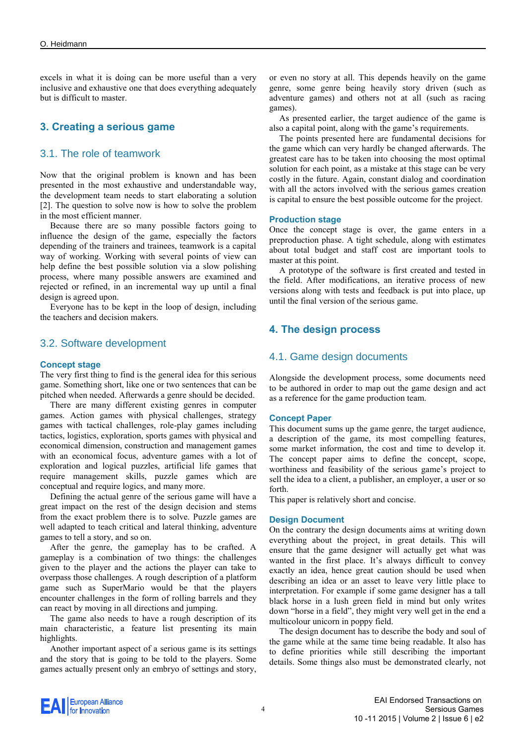excels in what it is doing can be more useful than a very inclusive and exhaustive one that does everything adequately but is difficult to master.

# **3. Creating a serious game**

# 3.1. The role of teamwork

Now that the original problem is known and has been presented in the most exhaustive and understandable way, the development team needs to start elaborating a solution [2]. The question to solve now is how to solve the problem in the most efficient manner.

Because there are so many possible factors going to influence the design of the game, especially the factors depending of the trainers and trainees, teamwork is a capital way of working. Working with several points of view can help define the best possible solution via a slow polishing process, where many possible answers are examined and rejected or refined, in an incremental way up until a final design is agreed upon.

Everyone has to be kept in the loop of design, including the teachers and decision makers.

# 3.2. Software development

#### **Concept stage**

The very first thing to find is the general idea for this serious game. Something short, like one or two sentences that can be pitched when needed. Afterwards a genre should be decided.

There are many different existing genres in computer games. Action games with physical challenges, strategy games with tactical challenges, role-play games including tactics, logistics, exploration, sports games with physical and economical dimension, construction and management games with an economical focus, adventure games with a lot of exploration and logical puzzles, artificial life games that require management skills, puzzle games which are conceptual and require logics, and many more.

Defining the actual genre of the serious game will have a great impact on the rest of the design decision and stems from the exact problem there is to solve. Puzzle games are well adapted to teach critical and lateral thinking, adventure games to tell a story, and so on.

After the genre, the gameplay has to be crafted. A gameplay is a combination of two things: the challenges given to the player and the actions the player can take to overpass those challenges. A rough description of a platform game such as SuperMario would be that the players encounter challenges in the form of rolling barrels and they can react by moving in all directions and jumping.

The game also needs to have a rough description of its main characteristic, a feature list presenting its main highlights.

Another important aspect of a serious game is its settings and the story that is going to be told to the players. Some games actually present only an embryo of settings and story, or even no story at all. This depends heavily on the game genre, some genre being heavily story driven (such as adventure games) and others not at all (such as racing games).

As presented earlier, the target audience of the game is also a capital point, along with the game's requirements.

The points presented here are fundamental decisions for the game which can very hardly be changed afterwards. The greatest care has to be taken into choosing the most optimal solution for each point, as a mistake at this stage can be very costly in the future. Again, constant dialog and coordination with all the actors involved with the serious games creation is capital to ensure the best possible outcome for the project.

#### **Production stage**

Once the concept stage is over, the game enters in a preproduction phase. A tight schedule, along with estimates about total budget and staff cost are important tools to master at this point.

A prototype of the software is first created and tested in the field. After modifications, an iterative process of new versions along with tests and feedback is put into place, up until the final version of the serious game.

# **4. The design process**

### 4.1. Game design documents

Alongside the development process, some documents need to be authored in order to map out the game design and act as a reference for the game production team.

#### **Concept Paper**

This document sums up the game genre, the target audience, a description of the game, its most compelling features, some market information, the cost and time to develop it. The concept paper aims to define the concept, scope, worthiness and feasibility of the serious game's project to sell the idea to a client, a publisher, an employer, a user or so forth.

This paper is relatively short and concise.

#### **Design Document**

On the contrary the design documents aims at writing down everything about the project, in great details. This will ensure that the game designer will actually get what was wanted in the first place. It's always difficult to convey exactly an idea, hence great caution should be used when describing an idea or an asset to leave very little place to interpretation. For example if some game designer has a tall black horse in a lush green field in mind but only writes down "horse in a field", they might very well get in the end a multicolour unicorn in poppy field.

The design document has to describe the body and soul of the game while at the same time being readable. It also has to define priorities while still describing the important details. Some things also must be demonstrated clearly, not